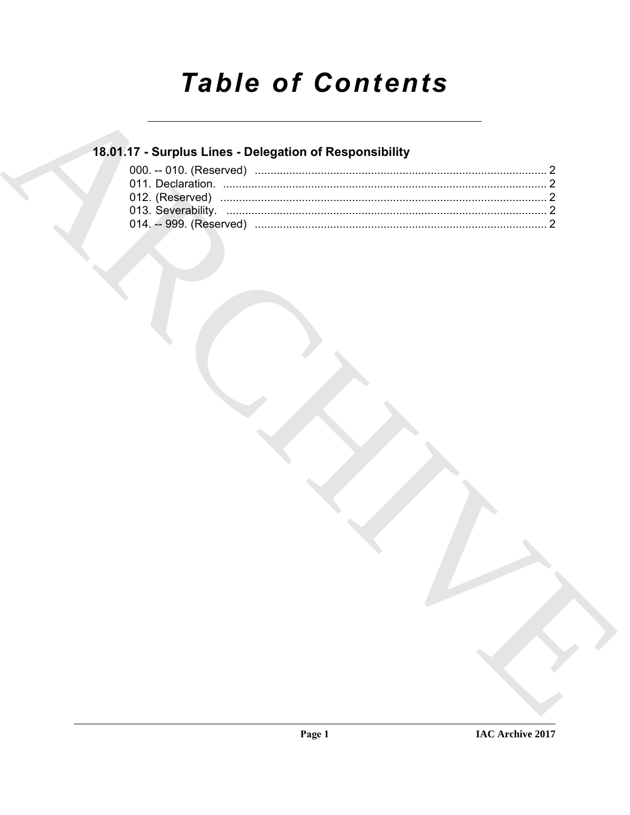# **Table of Contents**

### 18.01.17 - Surplus Lines - Delegation of Responsibility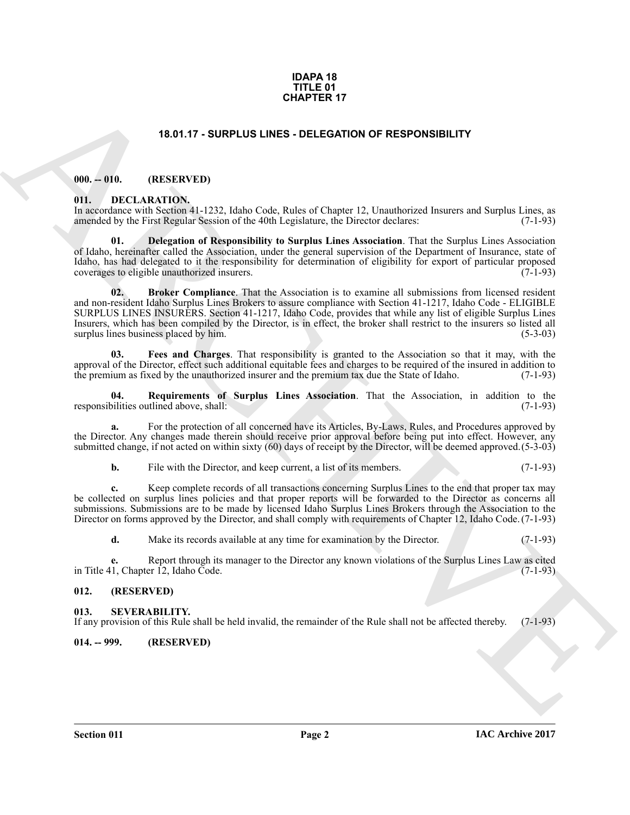#### **IDAPA 18 TITLE 01 CHAPTER 17**

#### **18.01.17 - SURPLUS LINES - DELEGATION OF RESPONSIBILITY**

#### <span id="page-1-1"></span><span id="page-1-0"></span>**000. -- 010. (RESERVED)**

#### <span id="page-1-6"></span><span id="page-1-2"></span>**011. DECLARATION.**

In accordance with Section 41-1232, Idaho Code, Rules of Chapter 12, Unauthorized Insurers and Surplus Lines, as amended by the First Regular Session of the 40th Legislature, the Director declares: (7-1-93) amended by the First Regular Session of the 40th Legislature, the Director declares:

<span id="page-1-8"></span><span id="page-1-7"></span>**01. Delegation of Responsibility to Surplus Lines Association**. That the Surplus Lines Association of Idaho, hereinafter called the Association, under the general supervision of the Department of Insurance, state of Idaho, has had delegated to it the responsibility for determination of eligibility for export of particular proposed coverages to eligible unauthorized insurers. (7-1-93) coverages to eligible unauthorized insurers.

**15.01.17 - SURPLUS LINES - DELEGATION OF RESPONSIBILITY**<br>
18.01.17 - SURPLUS LINES - DELEGATION OF RESPONSIBILITY<br>
18. DELEGATION (19. LAD, Calcul 2014) (and Calcul 2014) (and Calcul 2014) (and Calcul 2014) (and Calcul 2 **02. Broker Compliance**. That the Association is to examine all submissions from licensed resident and non-resident Idaho Surplus Lines Brokers to assure compliance with Section 41-1217, Idaho Code - ELIGIBLE SURPLUS LINES INSURERS. Section 41-1217, Idaho Code, provides that while any list of eligible Surplus Lines Insurers, which has been compiled by the Director, is in effect, the broker shall restrict to the insurers so listed all surplus lines business placed by him.

<span id="page-1-9"></span>**03. Fees and Charges**. That responsibility is granted to the Association so that it may, with the approval of the Director, effect such additional equitable fees and charges to be required of the insured in addition to the premium as fixed by the unauthorized insurer and the premium tax due the State of Idaho. (7-1-93) the premium as fixed by the unauthorized insurer and the premium tax due the State of Idaho.

<span id="page-1-10"></span>**04. Requirements of Surplus Lines Association**. That the Association, in addition to the responsibilities outlined above, shall:

**a.** For the protection of all concerned have its Articles, By-Laws, Rules, and Procedures approved by the Director. Any changes made therein should receive prior approval before being put into effect. However, any submitted change, if not acted on within sixty (60) days of receipt by the Director, will be deemed approved. (5-3-03)

**b.** File with the Director, and keep current, a list of its members. (7-1-93)

**c.** Keep complete records of all transactions concerning Surplus Lines to the end that proper tax may be collected on surplus lines policies and that proper reports will be forwarded to the Director as concerns all submissions. Submissions are to be made by licensed Idaho Surplus Lines Brokers through the Association to the Director on forms approved by the Director, and shall comply with requirements of Chapter 12, Idaho Code. (7-1-93)

**d.** Make its records available at any time for examination by the Director. (7-1-93)

**e.** Report through its manager to the Director any known violations of the Surplus Lines Law as cited 1, Chapter 12, Idaho Code. (7-1-93) in Title 41, Chapter  $\hat{12}$ , Idaho Code.

#### <span id="page-1-3"></span>**012. (RESERVED)**

#### <span id="page-1-4"></span>**013. SEVERABILITY.**

If any provision of this Rule shall be held invalid, the remainder of the Rule shall not be affected thereby. (7-1-93)

#### <span id="page-1-5"></span>**014. -- 999. (RESERVED)**